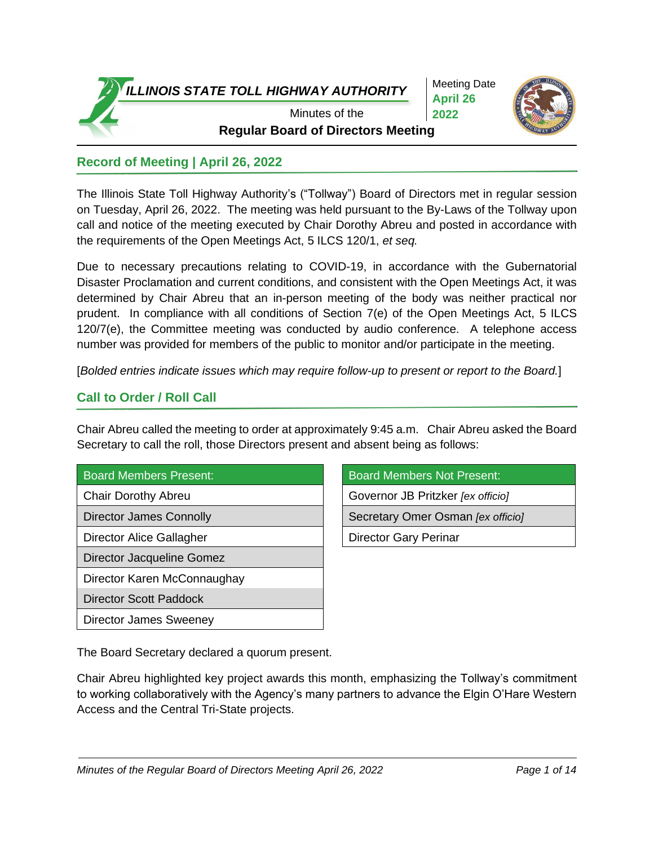

Meeting Date **April 26 2022**



**Regular Board of Directors Meeting** Minutes of the

# **Record of Meeting | April 26, 2022**

The Illinois State Toll Highway Authority's ("Tollway") Board of Directors met in regular session on Tuesday, April 26, 2022. The meeting was held pursuant to the By-Laws of the Tollway upon call and notice of the meeting executed by Chair Dorothy Abreu and posted in accordance with the requirements of the Open Meetings Act, 5 ILCS 120/1, *et seq.*

Due to necessary precautions relating to COVID-19, in accordance with the Gubernatorial Disaster Proclamation and current conditions, and consistent with the Open Meetings Act, it was determined by Chair Abreu that an in-person meeting of the body was neither practical nor prudent. In compliance with all conditions of Section 7(e) of the Open Meetings Act, 5 ILCS 120/7(e), the Committee meeting was conducted by audio conference. A telephone access number was provided for members of the public to monitor and/or participate in the meeting.

[*Bolded entries indicate issues which may require follow-up to present or report to the Board.*]

# **Call to Order / Roll Call**

Chair Abreu called the meeting to order at approximately 9:45 a.m. Chair Abreu asked the Board Secretary to call the roll, those Directors present and absent being as follows:

| <b>Board Members Present:</b> |  |  |
|-------------------------------|--|--|
|                               |  |  |

Director Alice Gallagher **Director Gary Perinar Director Gary Perinar** 

Director Jacqueline Gomez

Director Karen McConnaughay

- Director Scott Paddock
- Director James Sweeney

Board Members Not Present:

Chair Dorothy Abreu Governor JB Pritzker *[ex officio]*

Director James Connolly **Secretary Omer Osman** *[ex officio]* Secretary Omer Osman *[ex officio]* 

The Board Secretary declared a quorum present.

Chair Abreu highlighted key project awards this month, emphasizing the Tollway's commitment to working collaboratively with the Agency's many partners to advance the Elgin O'Hare Western Access and the Central Tri-State projects.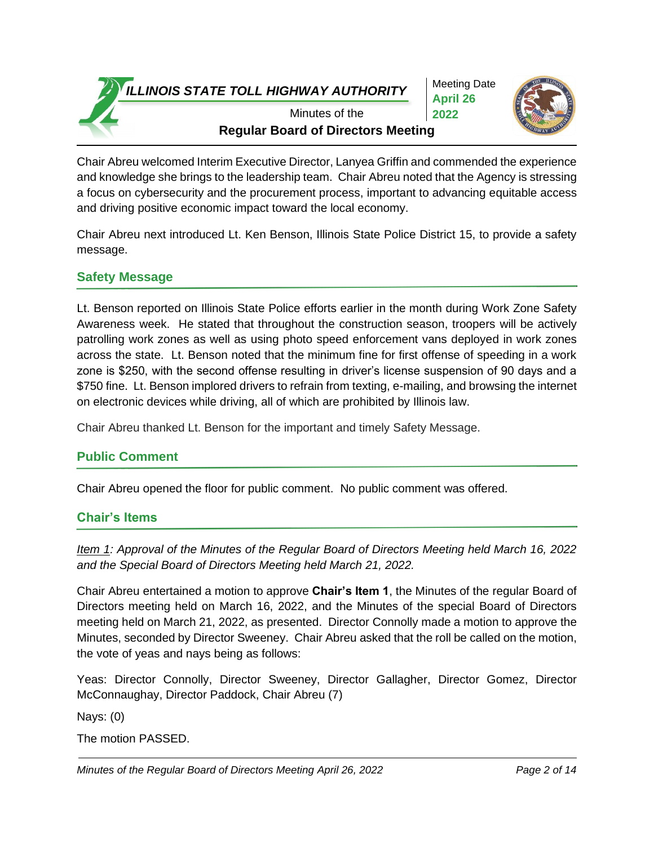Meeting Date **April 26 2022**



**Regular Board of Directors Meeting** Minutes of the

Chair Abreu welcomed Interim Executive Director, Lanyea Griffin and commended the experience and knowledge she brings to the leadership team. Chair Abreu noted that the Agency is stressing a focus on cybersecurity and the procurement process, important to advancing equitable access and driving positive economic impact toward the local economy.

Chair Abreu next introduced Lt. Ken Benson, Illinois State Police District 15, to provide a safety message.

# **Safety Message**

Lt. Benson reported on Illinois State Police efforts earlier in the month during Work Zone Safety Awareness week. He stated that throughout the construction season, troopers will be actively patrolling work zones as well as using photo speed enforcement vans deployed in work zones across the state. Lt. Benson noted that the minimum fine for first offense of speeding in a work zone is \$250, with the second offense resulting in driver's license suspension of 90 days and a \$750 fine. Lt. Benson implored drivers to refrain from texting, e-mailing, and browsing the internet on electronic devices while driving, all of which are prohibited by Illinois law.

Chair Abreu thanked Lt. Benson for the important and timely Safety Message.

# **Public Comment**

Chair Abreu opened the floor for public comment. No public comment was offered.

# **Chair's Items**

*Item 1: Approval of the Minutes of the Regular Board of Directors Meeting held March 16, 2022 and the Special Board of Directors Meeting held March 21, 2022.*

Chair Abreu entertained a motion to approve **Chair's Item 1**, the Minutes of the regular Board of Directors meeting held on March 16, 2022, and the Minutes of the special Board of Directors meeting held on March 21, 2022, as presented. Director Connolly made a motion to approve the Minutes, seconded by Director Sweeney. Chair Abreu asked that the roll be called on the motion, the vote of yeas and nays being as follows:

Yeas: Director Connolly, Director Sweeney, Director Gallagher, Director Gomez, Director McConnaughay, Director Paddock, Chair Abreu (7)

Nays: (0)

The motion PASSED.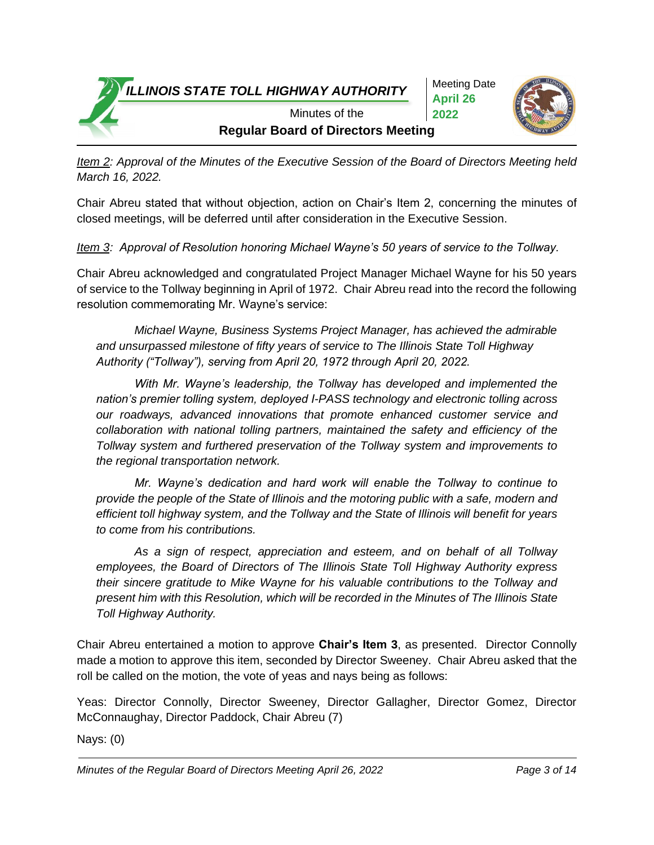Meeting Date **April 26 2022**



**Regular Board of Directors Meeting** Minutes of the

*Item 2: Approval of the Minutes of the Executive Session of the Board of Directors Meeting held March 16, 2022.*

Chair Abreu stated that without objection, action on Chair's Item 2, concerning the minutes of closed meetings, will be deferred until after consideration in the Executive Session.

*Item 3: Approval of Resolution honoring Michael Wayne's 50 years of service to the Tollway.*

Chair Abreu acknowledged and congratulated Project Manager Michael Wayne for his 50 years of service to the Tollway beginning in April of 1972. Chair Abreu read into the record the following resolution commemorating Mr. Wayne's service:

*Michael Wayne, Business Systems Project Manager, has achieved the admirable and unsurpassed milestone of fifty years of service to The Illinois State Toll Highway Authority ("Tollway"), serving from April 20, 1972 through April 20, 2022.*

*With Mr. Wayne's leadership, the Tollway has developed and implemented the nation's premier tolling system, deployed I-PASS technology and electronic tolling across our roadways, advanced innovations that promote enhanced customer service and collaboration with national tolling partners, maintained the safety and efficiency of the Tollway system and furthered preservation of the Tollway system and improvements to the regional transportation network.*

*Mr. Wayne's dedication and hard work will enable the Tollway to continue to provide the people of the State of Illinois and the motoring public with a safe, modern and efficient toll highway system, and the Tollway and the State of Illinois will benefit for years to come from his contributions.*

*As a sign of respect, appreciation and esteem, and on behalf of all Tollway employees, the Board of Directors of The Illinois State Toll Highway Authority express their sincere gratitude to Mike Wayne for his valuable contributions to the Tollway and present him with this Resolution, which will be recorded in the Minutes of The Illinois State Toll Highway Authority.*

Chair Abreu entertained a motion to approve **Chair's Item 3**, as presented. Director Connolly made a motion to approve this item, seconded by Director Sweeney. Chair Abreu asked that the roll be called on the motion, the vote of yeas and nays being as follows:

Yeas: Director Connolly, Director Sweeney, Director Gallagher, Director Gomez, Director McConnaughay, Director Paddock, Chair Abreu (7)

Nays: (0)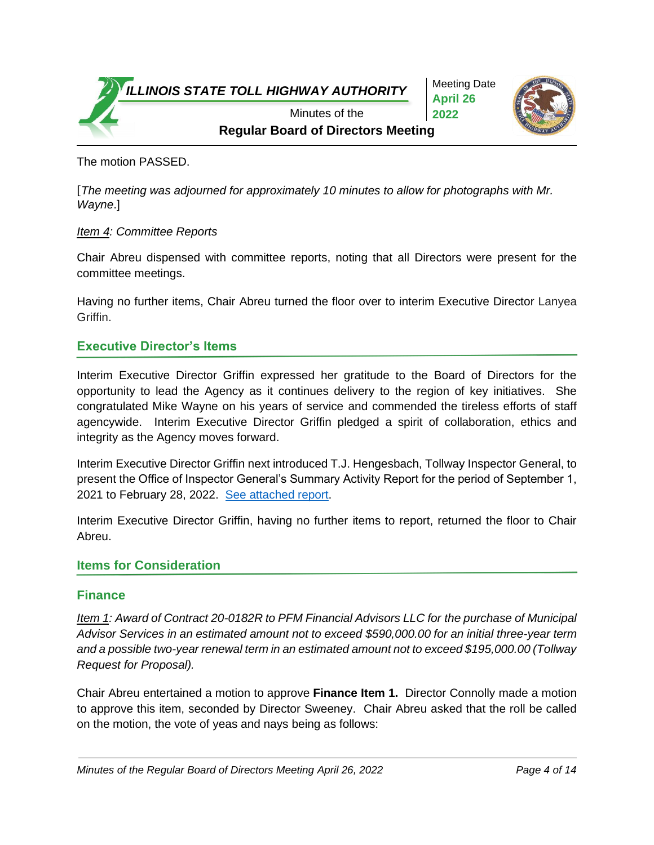Meeting Date **April 26 2022**



**Regular Board of Directors Meeting** Minutes of the

The motion PASSED.

[*The meeting was adjourned for approximately 10 minutes to allow for photographs with Mr. Wayne*.]

# *Item 4: Committee Reports*

Chair Abreu dispensed with committee reports, noting that all Directors were present for the committee meetings.

Having no further items, Chair Abreu turned the floor over to interim Executive Director Lanyea Griffin.

# **Executive Director's Items**

Interim Executive Director Griffin expressed her gratitude to the Board of Directors for the opportunity to lead the Agency as it continues delivery to the region of key initiatives. She congratulated Mike Wayne on his years of service and commended the tireless efforts of staff agencywide. Interim Executive Director Griffin pledged a spirit of collaboration, ethics and integrity as the Agency moves forward.

Interim Executive Director Griffin next introduced T.J. Hengesbach, Tollway Inspector General, to present the Office of Inspector General's Summary Activity Report for the period of September 1, 2021 to February 28, 2022. [See attached report.](https://www.illinoistollway.com/documents/20184/1186945/SummaryActivityReport+20220331.pdf/3553f856-e056-e0c8-1f99-b5154b4c57b2?version=1.2&t=1648750823155&download=true)

Interim Executive Director Griffin, having no further items to report, returned the floor to Chair Abreu.

#### **Items for Consideration**

#### **Finance**

*Item 1: Award of Contract 20-0182R to PFM Financial Advisors LLC for the purchase of Municipal Advisor Services in an estimated amount not to exceed \$590,000.00 for an initial three-year term and a possible two-year renewal term in an estimated amount not to exceed \$195,000.00 (Tollway Request for Proposal).*

Chair Abreu entertained a motion to approve **Finance Item 1.** Director Connolly made a motion to approve this item, seconded by Director Sweeney. Chair Abreu asked that the roll be called on the motion, the vote of yeas and nays being as follows: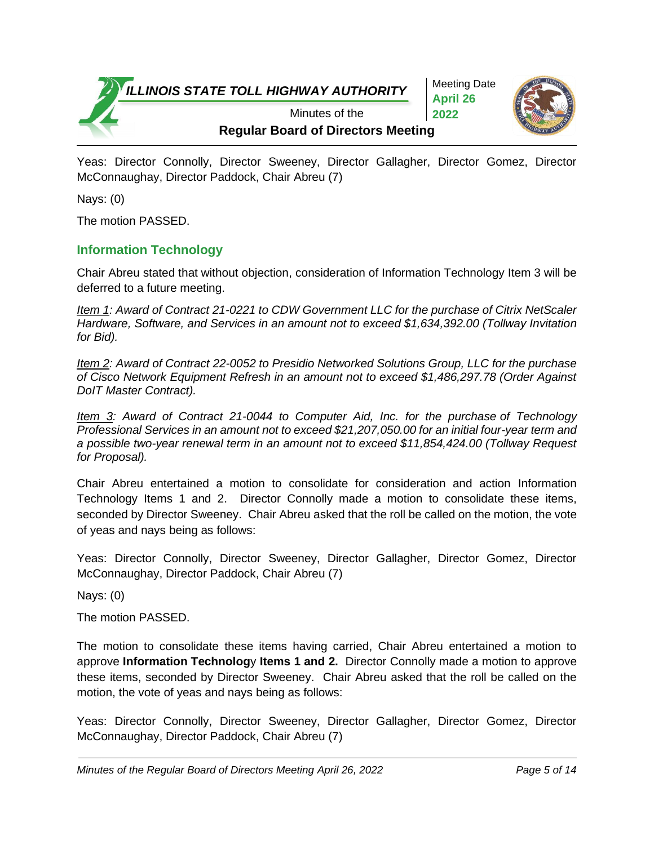Meeting Date **April 26 2022**



**Regular Board of Directors Meeting** Minutes of the

Yeas: Director Connolly, Director Sweeney, Director Gallagher, Director Gomez, Director McConnaughay, Director Paddock, Chair Abreu (7)

Nays: (0)

The motion PASSED.

# **Information Technology**

Chair Abreu stated that without objection, consideration of Information Technology Item 3 will be deferred to a future meeting.

*Item 1: Award of Contract 21-0221 to CDW Government LLC for the purchase of Citrix NetScaler Hardware, Software, and Services in an amount not to exceed \$1,634,392.00 (Tollway Invitation for Bid).*

*Item 2: Award of Contract 22-0052 to Presidio Networked Solutions Group, LLC for the purchase of Cisco Network Equipment Refresh in an amount not to exceed \$1,486,297.78 (Order Against DoIT Master Contract).*

*Item 3: Award of Contract 21-0044 to Computer Aid, Inc. for the purchase of Technology Professional Services in an amount not to exceed \$21,207,050.00 for an initial four-year term and a possible two-year renewal term in an amount not to exceed \$11,854,424.00 (Tollway Request for Proposal).*

Chair Abreu entertained a motion to consolidate for consideration and action Information Technology Items 1 and 2. Director Connolly made a motion to consolidate these items, seconded by Director Sweeney. Chair Abreu asked that the roll be called on the motion, the vote of yeas and nays being as follows:

Yeas: Director Connolly, Director Sweeney, Director Gallagher, Director Gomez, Director McConnaughay, Director Paddock, Chair Abreu (7)

Nays: (0)

The motion PASSED.

The motion to consolidate these items having carried, Chair Abreu entertained a motion to approve **Information Technolog**y **Items 1 and 2.** Director Connolly made a motion to approve these items, seconded by Director Sweeney. Chair Abreu asked that the roll be called on the motion, the vote of yeas and nays being as follows:

Yeas: Director Connolly, Director Sweeney, Director Gallagher, Director Gomez, Director McConnaughay, Director Paddock, Chair Abreu (7)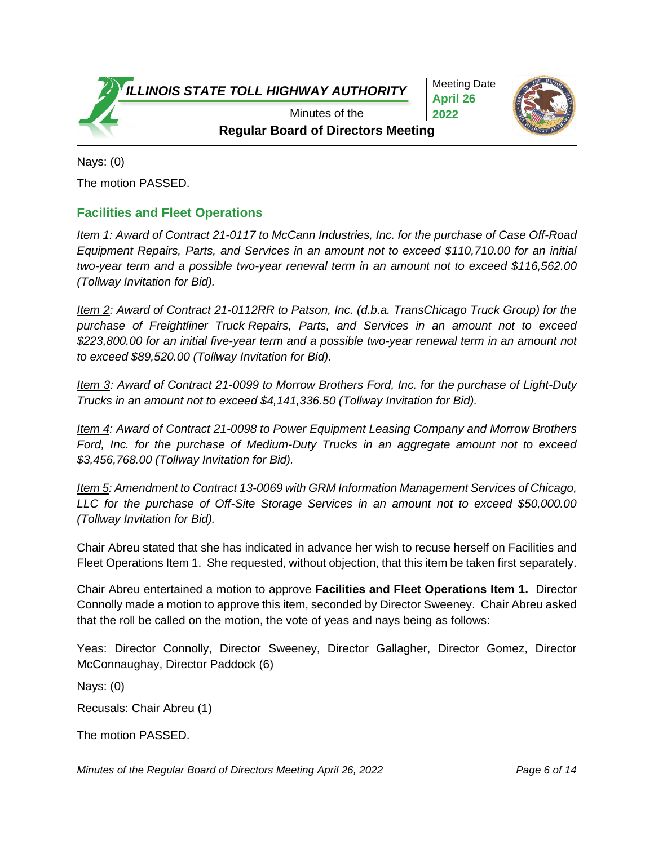Meeting Date **April 26 2022**



**Regular Board of Directors Meeting** Minutes of the

Nays: (0) The motion PASSED.

# **Facilities and Fleet Operations**

*Item 1: Award of Contract 21-0117 to McCann Industries, Inc. for the purchase of Case Off-Road Equipment Repairs, Parts, and Services in an amount not to exceed \$110,710.00 for an initial two-year term and a possible two-year renewal term in an amount not to exceed \$116,562.00 (Tollway Invitation for Bid).* 

*Item 2: Award of Contract 21-0112RR to Patson, Inc. (d.b.a. TransChicago Truck Group) for the purchase of Freightliner Truck Repairs, Parts, and Services in an amount not to exceed \$223,800.00 for an initial five-year term and a possible two-year renewal term in an amount not to exceed \$89,520.00 (Tollway Invitation for Bid).*

*Item 3: Award of Contract 21-0099 to Morrow Brothers Ford, Inc. for the purchase of Light-Duty Trucks in an amount not to exceed \$4,141,336.50 (Tollway Invitation for Bid).*

*Item 4: Award of Contract 21-0098 to Power Equipment Leasing Company and Morrow Brothers Ford, Inc. for the purchase of Medium-Duty Trucks in an aggregate amount not to exceed \$3,456,768.00 (Tollway Invitation for Bid).*

*Item 5: Amendment to Contract 13-0069 with GRM Information Management Services of Chicago, LLC for the purchase of Off-Site Storage Services in an amount not to exceed \$50,000.00 (Tollway Invitation for Bid).*

Chair Abreu stated that she has indicated in advance her wish to recuse herself on Facilities and Fleet Operations Item 1. She requested, without objection, that this item be taken first separately.

Chair Abreu entertained a motion to approve **Facilities and Fleet Operations Item 1.** Director Connolly made a motion to approve this item, seconded by Director Sweeney. Chair Abreu asked that the roll be called on the motion, the vote of yeas and nays being as follows:

Yeas: Director Connolly, Director Sweeney, Director Gallagher, Director Gomez, Director McConnaughay, Director Paddock (6)

Nays: (0)

Recusals: Chair Abreu (1)

The motion PASSED.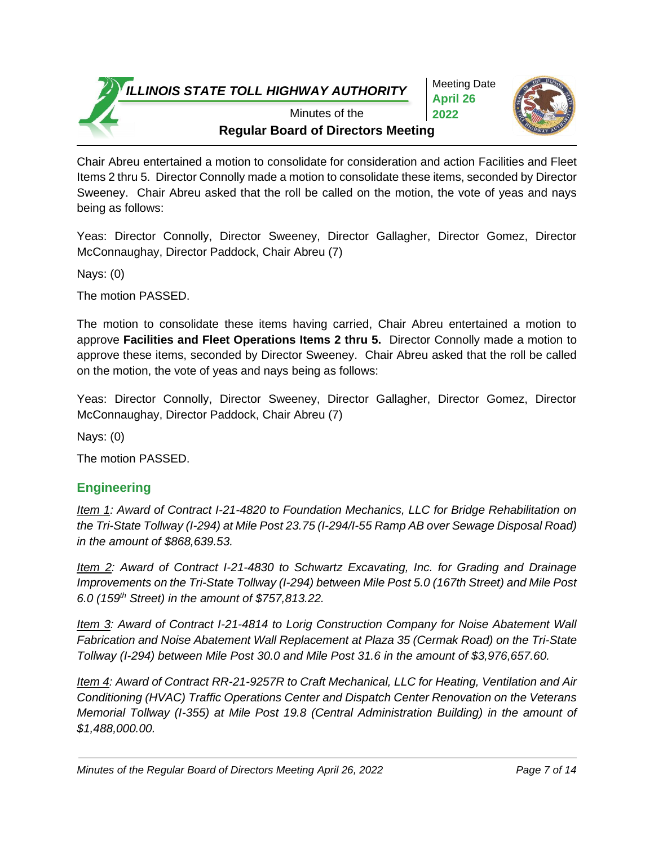Meeting Date **April 26 2022**



**Regular Board of Directors Meeting** Minutes of the

Chair Abreu entertained a motion to consolidate for consideration and action Facilities and Fleet Items 2 thru 5. Director Connolly made a motion to consolidate these items, seconded by Director Sweeney. Chair Abreu asked that the roll be called on the motion, the vote of yeas and nays being as follows:

Yeas: Director Connolly, Director Sweeney, Director Gallagher, Director Gomez, Director McConnaughay, Director Paddock, Chair Abreu (7)

Nays: (0)

The motion PASSED.

The motion to consolidate these items having carried, Chair Abreu entertained a motion to approve **Facilities and Fleet Operations Items 2 thru 5.** Director Connolly made a motion to approve these items, seconded by Director Sweeney. Chair Abreu asked that the roll be called on the motion, the vote of yeas and nays being as follows:

Yeas: Director Connolly, Director Sweeney, Director Gallagher, Director Gomez, Director McConnaughay, Director Paddock, Chair Abreu (7)

Nays: (0)

The motion PASSED.

# **Engineering**

*Item 1: Award of Contract I-21-4820 to Foundation Mechanics, LLC for Bridge Rehabilitation on the Tri-State Tollway (I-294) at Mile Post 23.75 (I-294/I-55 Ramp AB over Sewage Disposal Road) in the amount of \$868,639.53.*

*Item 2: Award of Contract I-21-4830 to Schwartz Excavating, Inc. for Grading and Drainage Improvements on the Tri-State Tollway (I-294) between Mile Post 5.0 (167th Street) and Mile Post 6.0 (159th Street) in the amount of \$757,813.22.*

*Item 3: Award of Contract I-21-4814 to Lorig Construction Company for Noise Abatement Wall Fabrication and Noise Abatement Wall Replacement at Plaza 35 (Cermak Road) on the Tri-State Tollway (I-294) between Mile Post 30.0 and Mile Post 31.6 in the amount of \$3,976,657.60.*

*Item 4: Award of Contract RR-21-9257R to Craft Mechanical, LLC for Heating, Ventilation and Air Conditioning (HVAC) Traffic Operations Center and Dispatch Center Renovation on the Veterans Memorial Tollway (I-355) at Mile Post 19.8 (Central Administration Building) in the amount of \$1,488,000.00.*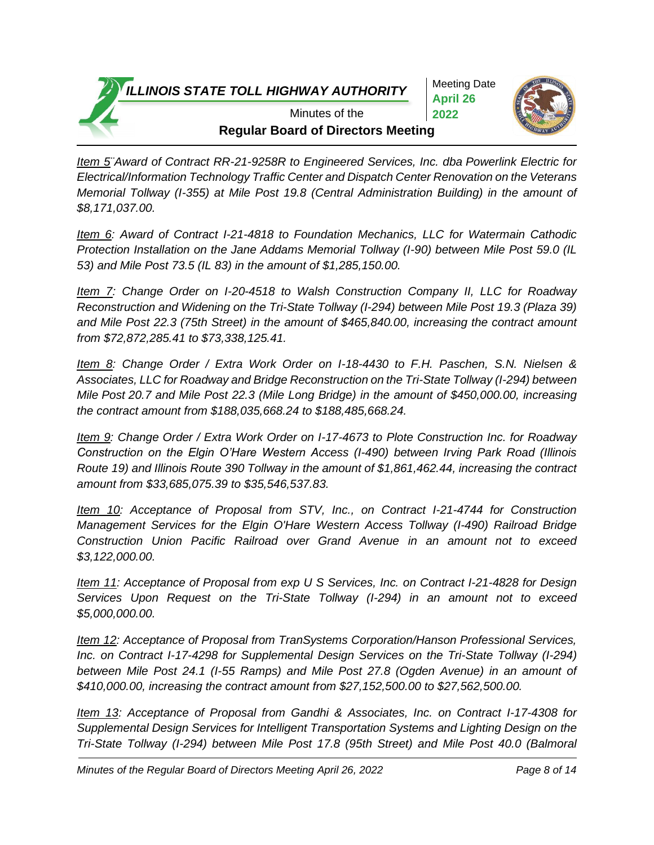Meeting Date **April 26 2022**



**Regular Board of Directors Meeting** Minutes of the

*Item 5¨Award of Contract RR-21-9258R to Engineered Services, Inc. dba Powerlink Electric for Electrical/Information Technology Traffic Center and Dispatch Center Renovation on the Veterans Memorial Tollway (I-355) at Mile Post 19.8 (Central Administration Building) in the amount of \$8,171,037.00.* 

*Item 6: Award of Contract I-21-4818 to Foundation Mechanics, LLC for Watermain Cathodic Protection Installation on the Jane Addams Memorial Tollway (I-90) between Mile Post 59.0 (IL 53) and Mile Post 73.5 (IL 83) in the amount of \$1,285,150.00.*

*Item 7: Change Order on I-20-4518 to Walsh Construction Company II, LLC for Roadway Reconstruction and Widening on the Tri-State Tollway (I-294) between Mile Post 19.3 (Plaza 39) and Mile Post 22.3 (75th Street) in the amount of \$465,840.00, increasing the contract amount from \$72,872,285.41 to \$73,338,125.41.*

*Item 8: Change Order / Extra Work Order on I-18-4430 to F.H. Paschen, S.N. Nielsen & Associates, LLC for Roadway and Bridge Reconstruction on the Tri-State Tollway (I-294) between Mile Post 20.7 and Mile Post 22.3 (Mile Long Bridge) in the amount of \$450,000.00, increasing the contract amount from \$188,035,668.24 to \$188,485,668.24.*

*Item 9: Change Order / Extra Work Order on I-17-4673 to Plote Construction Inc. for Roadway Construction on the Elgin O'Hare Western Access (I-490) between Irving Park Road (Illinois Route 19) and Illinois Route 390 Tollway in the amount of \$1,861,462.44, increasing the contract amount from \$33,685,075.39 to \$35,546,537.83.*

*Item 10: Acceptance of Proposal from STV, Inc., on Contract I-21-4744 for Construction Management Services for the Elgin O'Hare Western Access Tollway (I-490) Railroad Bridge Construction Union Pacific Railroad over Grand Avenue in an amount not to exceed \$3,122,000.00.*

*Item 11: Acceptance of Proposal from exp U S Services, Inc. on Contract I-21-4828 for Design Services Upon Request on the Tri-State Tollway (I-294) in an amount not to exceed \$5,000,000.00.*

*Item 12: Acceptance of Proposal from TranSystems Corporation/Hanson Professional Services, Inc. on Contract I-17-4298 for Supplemental Design Services on the Tri-State Tollway (I-294) between Mile Post 24.1 (I-55 Ramps) and Mile Post 27.8 (Ogden Avenue) in an amount of \$410,000.00, increasing the contract amount from \$27,152,500.00 to \$27,562,500.00.*

*Item 13: Acceptance of Proposal from Gandhi & Associates, Inc. on Contract I-17-4308 for Supplemental Design Services for Intelligent Transportation Systems and Lighting Design on the Tri-State Tollway (I-294) between Mile Post 17.8 (95th Street) and Mile Post 40.0 (Balmoral*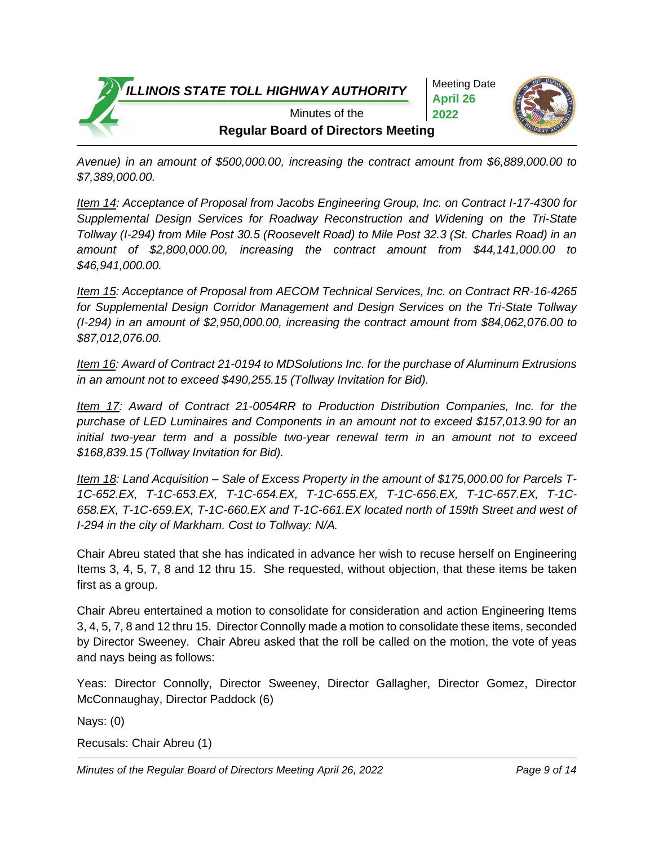Meeting Date **April 26 2022**



**Regular Board of Directors Meeting** Minutes of the

*Avenue) in an amount of \$500,000.00, increasing the contract amount from \$6,889,000.00 to \$7,389,000.00.*

*Item 14: Acceptance of Proposal from Jacobs Engineering Group, Inc. on Contract I-17-4300 for Supplemental Design Services for Roadway Reconstruction and Widening on the Tri-State Tollway (I-294) from Mile Post 30.5 (Roosevelt Road) to Mile Post 32.3 (St. Charles Road) in an amount of \$2,800,000.00, increasing the contract amount from \$44,141,000.00 to \$46,941,000.00.*

*Item 15: Acceptance of Proposal from AECOM Technical Services, Inc. on Contract RR-16-4265 for Supplemental Design Corridor Management and Design Services on the Tri-State Tollway (I-294) in an amount of \$2,950,000.00, increasing the contract amount from \$84,062,076.00 to \$87,012,076.00.*

*Item 16: Award of Contract 21-0194 to MDSolutions Inc. for the purchase of Aluminum Extrusions in an amount not to exceed \$490,255.15 (Tollway Invitation for Bid).*

*Item 17: Award of Contract 21-0054RR to Production Distribution Companies, Inc. for the purchase of LED Luminaires and Components in an amount not to exceed \$157,013.90 for an initial two-year term and a possible two-year renewal term in an amount not to exceed \$168,839.15 (Tollway Invitation for Bid).*

*Item 18: Land Acquisition – Sale of Excess Property in the amount of \$175,000.00 for Parcels T-1C-652.EX, T-1C-653.EX, T-1C-654.EX, T-1C-655.EX, T-1C-656.EX, T-1C-657.EX, T-1C-658.EX, T-1C-659.EX, T-1C-660.EX and T-1C-661.EX located north of 159th Street and west of I-294 in the city of Markham. Cost to Tollway: N/A.* 

Chair Abreu stated that she has indicated in advance her wish to recuse herself on Engineering Items 3, 4, 5, 7, 8 and 12 thru 15. She requested, without objection, that these items be taken first as a group.

Chair Abreu entertained a motion to consolidate for consideration and action Engineering Items 3, 4, 5, 7, 8 and 12 thru 15. Director Connolly made a motion to consolidate these items, seconded by Director Sweeney. Chair Abreu asked that the roll be called on the motion, the vote of yeas and nays being as follows:

Yeas: Director Connolly, Director Sweeney, Director Gallagher, Director Gomez, Director McConnaughay, Director Paddock (6)

Nays: (0)

```
Recusals: Chair Abreu (1)
```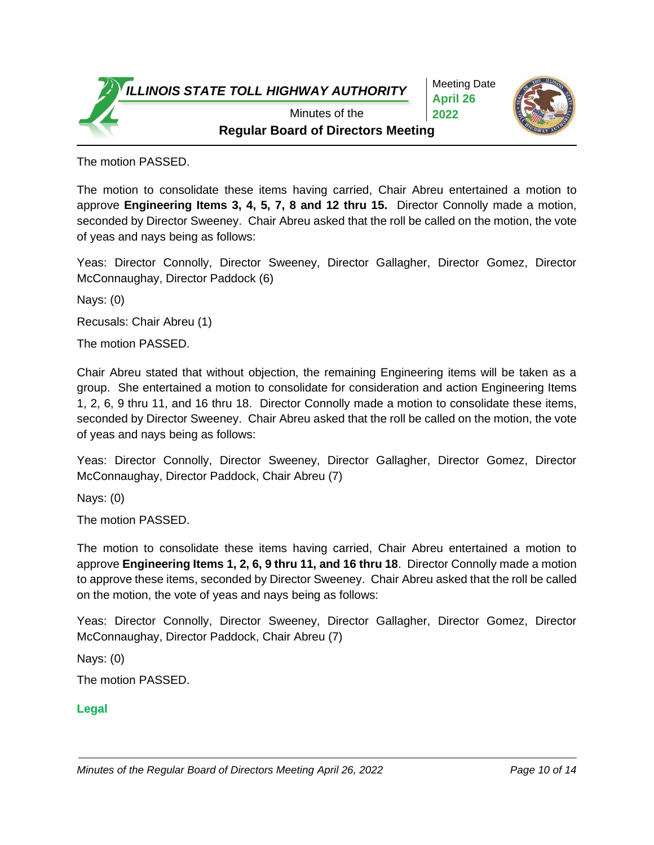Meeting Date **April 26 2022**



**Regular Board of Directors Meeting** Minutes of the

The motion PASSED.

The motion to consolidate these items having carried, Chair Abreu entertained a motion to approve **Engineering Items 3, 4, 5, 7, 8 and 12 thru 15.** Director Connolly made a motion, seconded by Director Sweeney. Chair Abreu asked that the roll be called on the motion, the vote of yeas and nays being as follows:

Yeas: Director Connolly, Director Sweeney, Director Gallagher, Director Gomez, Director McConnaughay, Director Paddock (6)

Nays: (0)

Recusals: Chair Abreu (1)

The motion PASSED.

Chair Abreu stated that without objection, the remaining Engineering items will be taken as a group. She entertained a motion to consolidate for consideration and action Engineering Items 1, 2, 6, 9 thru 11, and 16 thru 18. Director Connolly made a motion to consolidate these items, seconded by Director Sweeney. Chair Abreu asked that the roll be called on the motion, the vote of yeas and nays being as follows:

Yeas: Director Connolly, Director Sweeney, Director Gallagher, Director Gomez, Director McConnaughay, Director Paddock, Chair Abreu (7)

Nays: (0)

The motion PASSED.

The motion to consolidate these items having carried, Chair Abreu entertained a motion to approve **Engineering Items 1, 2, 6, 9 thru 11, and 16 thru 18**. Director Connolly made a motion to approve these items, seconded by Director Sweeney. Chair Abreu asked that the roll be called on the motion, the vote of yeas and nays being as follows:

Yeas: Director Connolly, Director Sweeney, Director Gallagher, Director Gomez, Director McConnaughay, Director Paddock, Chair Abreu (7)

Nays: (0)

The motion PASSED.

#### **Legal**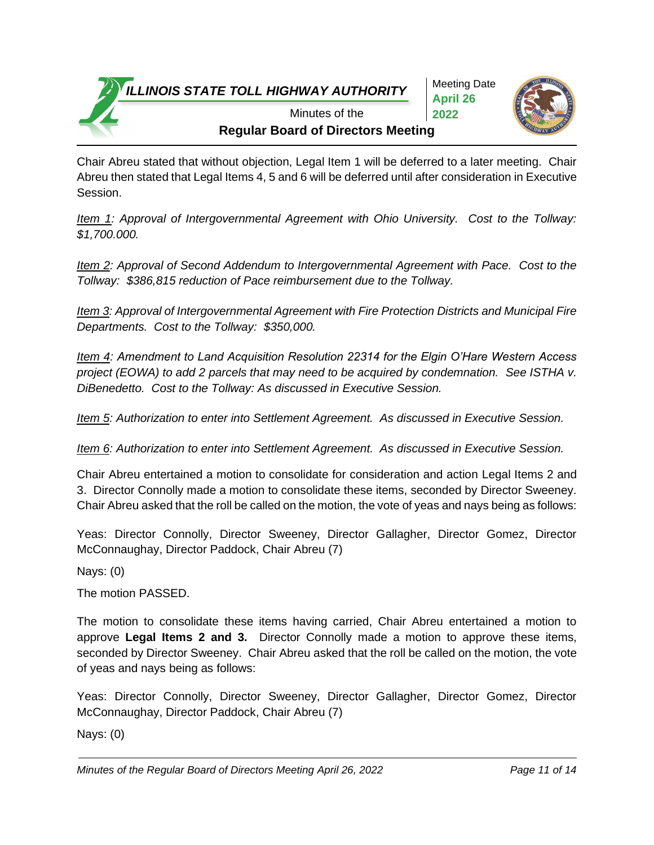Meeting Date **April 26 2022**



**Regular Board of Directors Meeting** Minutes of the

Chair Abreu stated that without objection, Legal Item 1 will be deferred to a later meeting. Chair Abreu then stated that Legal Items 4, 5 and 6 will be deferred until after consideration in Executive Session.

*Item 1: Approval of Intergovernmental Agreement with Ohio University. Cost to the Tollway: \$1,700.000.*

*Item 2: Approval of Second Addendum to Intergovernmental Agreement with Pace. Cost to the Tollway: \$386,815 reduction of Pace reimbursement due to the Tollway.* 

*Item 3: Approval of Intergovernmental Agreement with Fire Protection Districts and Municipal Fire Departments. Cost to the Tollway: \$350,000.*

*Item 4: Amendment to Land Acquisition Resolution 22314 for the Elgin O'Hare Western Access project (EOWA) to add 2 parcels that may need to be acquired by condemnation. See ISTHA v. DiBenedetto. Cost to the Tollway: As discussed in Executive Session.*

*Item 5: Authorization to enter into Settlement Agreement. As discussed in Executive Session.*

*Item 6: Authorization to enter into Settlement Agreement. As discussed in Executive Session.*

Chair Abreu entertained a motion to consolidate for consideration and action Legal Items 2 and 3. Director Connolly made a motion to consolidate these items, seconded by Director Sweeney. Chair Abreu asked that the roll be called on the motion, the vote of yeas and nays being as follows:

Yeas: Director Connolly, Director Sweeney, Director Gallagher, Director Gomez, Director McConnaughay, Director Paddock, Chair Abreu (7)

Nays: (0)

The motion PASSED.

The motion to consolidate these items having carried, Chair Abreu entertained a motion to approve **Legal Items 2 and 3.** Director Connolly made a motion to approve these items, seconded by Director Sweeney. Chair Abreu asked that the roll be called on the motion, the vote of yeas and nays being as follows:

Yeas: Director Connolly, Director Sweeney, Director Gallagher, Director Gomez, Director McConnaughay, Director Paddock, Chair Abreu (7)

Nays: (0)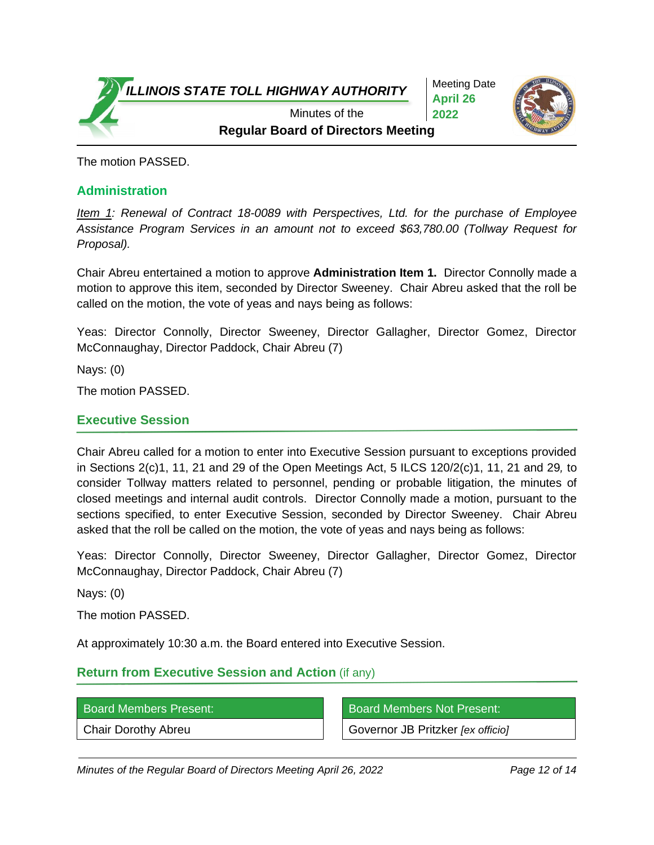

Meeting Date **April 26 2022**



**Regular Board of Directors Meeting** Minutes of the

The motion PASSED.

#### **Administration**

*Item 1: Renewal of Contract 18-0089 with Perspectives, Ltd. for the purchase of Employee Assistance Program Services in an amount not to exceed \$63,780.00 (Tollway Request for Proposal).*

Chair Abreu entertained a motion to approve **Administration Item 1.** Director Connolly made a motion to approve this item, seconded by Director Sweeney. Chair Abreu asked that the roll be called on the motion, the vote of yeas and nays being as follows:

Yeas: Director Connolly, Director Sweeney, Director Gallagher, Director Gomez, Director McConnaughay, Director Paddock, Chair Abreu (7)

Nays: (0)

The motion PASSED.

#### **Executive Session**

Chair Abreu called for a motion to enter into Executive Session pursuant to exceptions provided in Sections 2(c)1, 11, 21 and 29 of the Open Meetings Act, 5 ILCS 120/2(c)1, 11, 21 and 29*,* to consider Tollway matters related to personnel, pending or probable litigation, the minutes of closed meetings and internal audit controls. Director Connolly made a motion, pursuant to the sections specified, to enter Executive Session, seconded by Director Sweeney. Chair Abreu asked that the roll be called on the motion, the vote of yeas and nays being as follows:

Yeas: Director Connolly, Director Sweeney, Director Gallagher, Director Gomez, Director McConnaughay, Director Paddock, Chair Abreu (7)

Nays: (0)

The motion PASSED.

At approximately 10:30 a.m. the Board entered into Executive Session.

# **Return from Executive Session and Action** (if any)

Board Members Present: Board Members Not Present:

Chair Dorothy Abreu Governor JB Pritzker *[ex officio]*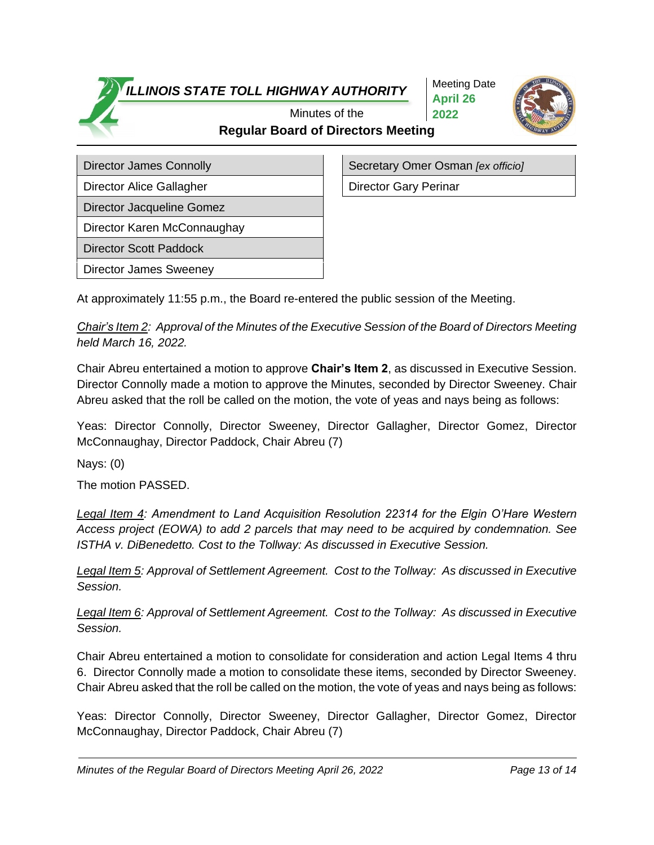Meeting Date **April 26 2022**



# **Regular Board of Directors Meeting** Minutes of the

Director Alice Gallagher **Director Gary Perinar** 

Director Jacqueline Gomez

Director Karen McConnaughay

Director Scott Paddock

Director James Sweeney

Director James Connolly **Secretary Omer Osman** *[ex officio]* Secretary Omer Osman *[ex officio]* 

At approximately 11:55 p.m., the Board re-entered the public session of the Meeting.

*Chair's Item 2: Approval of the Minutes of the Executive Session of the Board of Directors Meeting held March 16, 2022.*

Chair Abreu entertained a motion to approve **Chair's Item 2**, as discussed in Executive Session. Director Connolly made a motion to approve the Minutes, seconded by Director Sweeney. Chair Abreu asked that the roll be called on the motion, the vote of yeas and nays being as follows:

Yeas: Director Connolly, Director Sweeney, Director Gallagher, Director Gomez, Director McConnaughay, Director Paddock, Chair Abreu (7)

Nays: (0)

The motion PASSED.

*Legal Item 4: Amendment to Land Acquisition Resolution 22314 for the Elgin O'Hare Western Access project (EOWA) to add 2 parcels that may need to be acquired by condemnation. See ISTHA v. DiBenedetto. Cost to the Tollway: As discussed in Executive Session.*

*Legal Item 5: Approval of Settlement Agreement. Cost to the Tollway: As discussed in Executive Session.* 

*Legal Item 6: Approval of Settlement Agreement. Cost to the Tollway: As discussed in Executive Session.* 

Chair Abreu entertained a motion to consolidate for consideration and action Legal Items 4 thru 6. Director Connolly made a motion to consolidate these items, seconded by Director Sweeney. Chair Abreu asked that the roll be called on the motion, the vote of yeas and nays being as follows:

Yeas: Director Connolly, Director Sweeney, Director Gallagher, Director Gomez, Director McConnaughay, Director Paddock, Chair Abreu (7)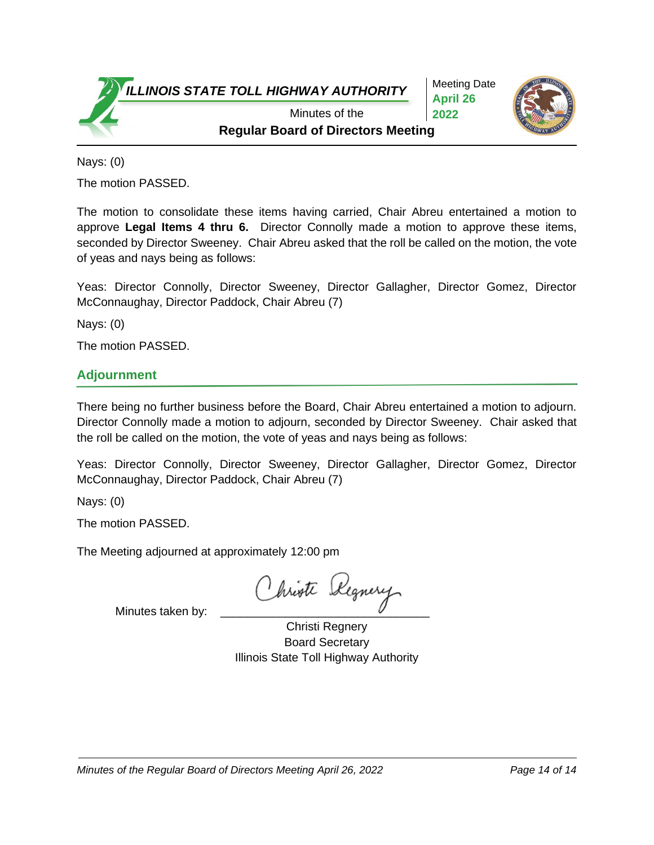Meeting Date **April 26 2022**



**Regular Board of Directors Meeting** Minutes of the

Nays: (0)

The motion PASSED.

The motion to consolidate these items having carried, Chair Abreu entertained a motion to approve **Legal Items 4 thru 6.** Director Connolly made a motion to approve these items, seconded by Director Sweeney. Chair Abreu asked that the roll be called on the motion, the vote of yeas and nays being as follows:

Yeas: Director Connolly, Director Sweeney, Director Gallagher, Director Gomez, Director McConnaughay, Director Paddock, Chair Abreu (7)

Nays: (0)

The motion PASSED.

## **Adjournment**

There being no further business before the Board, Chair Abreu entertained a motion to adjourn. Director Connolly made a motion to adjourn, seconded by Director Sweeney. Chair asked that the roll be called on the motion, the vote of yeas and nays being as follows:

Yeas: Director Connolly, Director Sweeney, Director Gallagher, Director Gomez, Director McConnaughay, Director Paddock, Chair Abreu (7)

Nays: (0)

The motion PASSED.

The Meeting adjourned at approximately 12:00 pm

hriote begnery

Minutes taken by:

Christi Regnery Board Secretary Illinois State Toll Highway Authority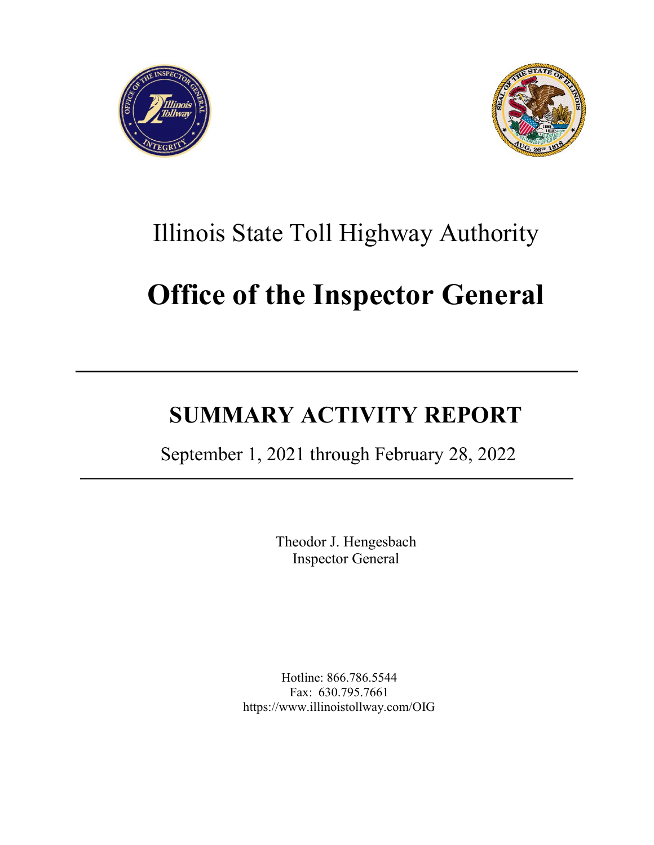



# Illinois State Toll Highway Authority

# **Office of the Inspector General**

# **SUMMARY ACTIVITY REPORT**

September 1, 2021 through February 28, 2022

Theodor J. Hengesbach Inspector General

Hotline: 866.786.5544 Fax: 630.795.7661 http[s://ww](http://www.illinoistollway.com/OIG)w[.illinoistollway.com/OIG](http://www.illinoistollway.com/OIG)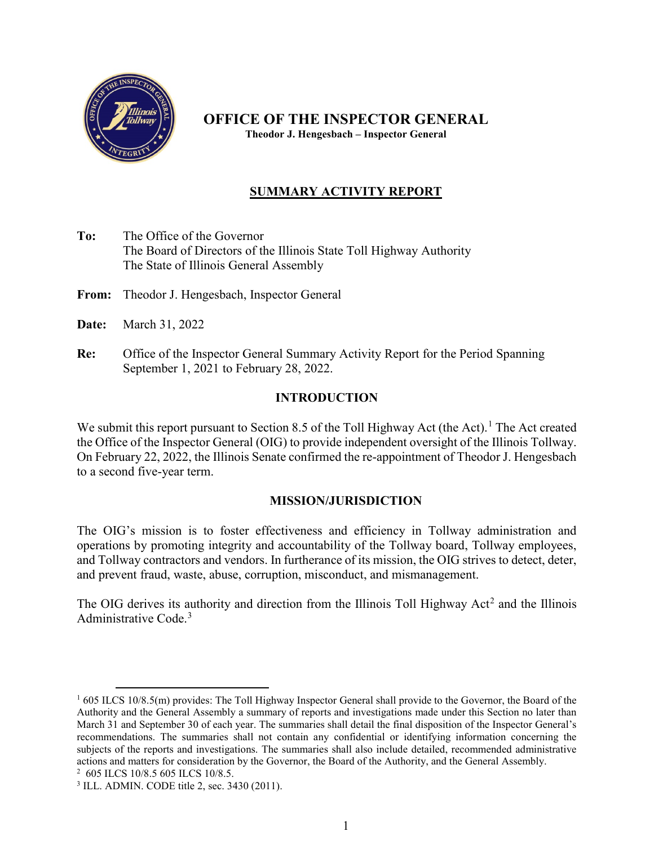

**OFFICE OF THE INSPECTOR GENERAL Theodor J. Hengesbach – Inspector General**

## **SUMMARY ACTIVITY REPORT**

**To:** The Office of the Governor The Board of Directors of the Illinois State Toll Highway Authority The State of Illinois General Assembly

**From:** Theodor J. Hengesbach, Inspector General

- **Date:** March 31, 2022
- **Re:** Office of the Inspector General Summary Activity Report for the Period Spanning September 1, 2021 to February 28, 2022.

## **INTRODUCTION**

We submit this report pursuant to Section 8.5 of the Toll Highway Act (the Act).<sup>[1](#page-15-0)</sup> The Act created the Office of the Inspector General (OIG) to provide independent oversight of the Illinois Tollway. On February 22, 2022, the Illinois Senate confirmed the re-appointment of Theodor J. Hengesbach to a second five-year term.

#### **MISSION/JURISDICTION**

The OIG's mission is to foster effectiveness and efficiency in Tollway administration and operations by promoting integrity and accountability of the Tollway board, Tollway employees, and Tollway contractors and vendors. In furtherance of its mission, the OIG strives to detect, deter, and prevent fraud, waste, abuse, corruption, misconduct, and mismanagement.

The OIG derives its authority and direction from the Illinois Toll Highway  $Act<sup>2</sup>$  $Act<sup>2</sup>$  $Act<sup>2</sup>$  and the Illinois Administrative Code.[3](#page-15-2)

<span id="page-15-0"></span> $1605$  ILCS 10/8.5(m) provides: The Toll Highway Inspector General shall provide to the Governor, the Board of the Authority and the General Assembly a summary of reports and investigations made under this Section no later than March 31 and September 30 of each year. The summaries shall detail the final disposition of the Inspector General's recommendations. The summaries shall not contain any confidential or identifying information concerning the subjects of the reports and investigations. The summaries shall also include detailed, recommended administrative actions and matters for consideration by the Governor, the Board of the Authority, and the General Assembly. 2 605 ILCS 10/8.5 605 ILCS 10/8.5.

<span id="page-15-2"></span><span id="page-15-1"></span><sup>3</sup> ILL. ADMIN. CODE title 2, sec. 3430 (2011).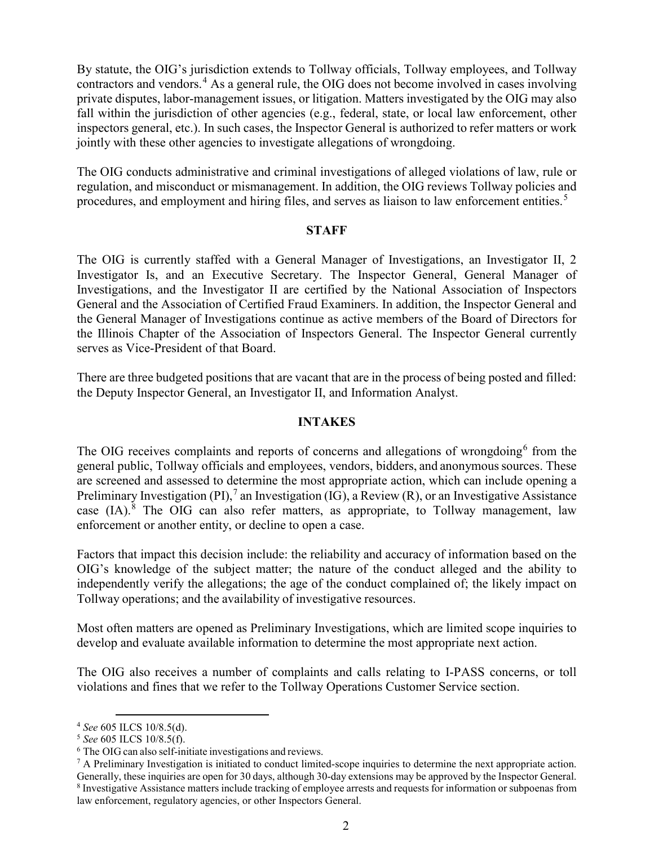By statute, the OIG's jurisdiction extends to Tollway officials, Tollway employees, and Tollway contractors and vendors.[4](#page-16-0) As a general rule, the OIG does not become involved in cases involving private disputes, labor-management issues, or litigation. Matters investigated by the OIG may also fall within the jurisdiction of other agencies (e.g., federal, state, or local law enforcement, other inspectors general, etc.). In such cases, the Inspector General is authorized to refer matters or work jointly with these other agencies to investigate allegations of wrongdoing.

The OIG conducts administrative and criminal investigations of alleged violations of law, rule or regulation, and misconduct or mismanagement. In addition, the OIG reviews Tollway policies and procedures, and employment and hiring files, and serves as liaison to law enforcement entities.[5](#page-16-1)

#### **STAFF**

The OIG is currently staffed with a General Manager of Investigations, an Investigator II, 2 Investigator Is, and an Executive Secretary. The Inspector General, General Manager of Investigations, and the Investigator II are certified by the National Association of Inspectors General and the Association of Certified Fraud Examiners. In addition, the Inspector General and the General Manager of Investigations continue as active members of the Board of Directors for the Illinois Chapter of the Association of Inspectors General. The Inspector General currently serves as Vice-President of that Board.

There are three budgeted positions that are vacant that are in the process of being posted and filled: the Deputy Inspector General, an Investigator II, and Information Analyst.

#### **INTAKES**

The OIG receives complaints and reports of concerns and allegations of wrongdoing<sup>[6](#page-16-2)</sup> from the general public, Tollway officials and employees, vendors, bidders, and anonymoussources. These are screened and assessed to determine the most appropriate action, which can include opening a Preliminary Investigation (PI),<sup>[7](#page-16-3)</sup> an Investigation (IG), a Review (R), or an Investigative Assistance case (IA).<sup>[8](#page-16-4)</sup> The OIG can also refer matters, as appropriate, to Tollway management, law enforcement or another entity, or decline to open a case.

Factors that impact this decision include: the reliability and accuracy of information based on the OIG's knowledge of the subject matter; the nature of the conduct alleged and the ability to independently verify the allegations; the age of the conduct complained of; the likely impact on Tollway operations; and the availability of investigative resources.

Most often matters are opened as Preliminary Investigations, which are limited scope inquiries to develop and evaluate available information to determine the most appropriate next action.

The OIG also receives a number of complaints and calls relating to I-PASS concerns, or toll violations and fines that we refer to the Tollway Operations Customer Service section.

<span id="page-16-1"></span>

<span id="page-16-0"></span><sup>&</sup>lt;sup>4</sup> *See* 605 ILCS 10/8.5(d).<br><sup>5</sup> *See* 605 ILCS 10/8.5(f).<br><sup>6</sup> The OIG can also self-initiate investigations and reviews.

<span id="page-16-4"></span><span id="page-16-3"></span><span id="page-16-2"></span> $7$  A Preliminary Investigation is initiated to conduct limited-scope inquiries to determine the next appropriate action. Generally, these inquiries are open for 30 days, although 30-day extensions may be approved by the Inspector General. <sup>8</sup> Investigative Assistance matters include tracking of employee arrests and requests for information or subpoenas from law enforcement, regulatory agencies, or other Inspectors General.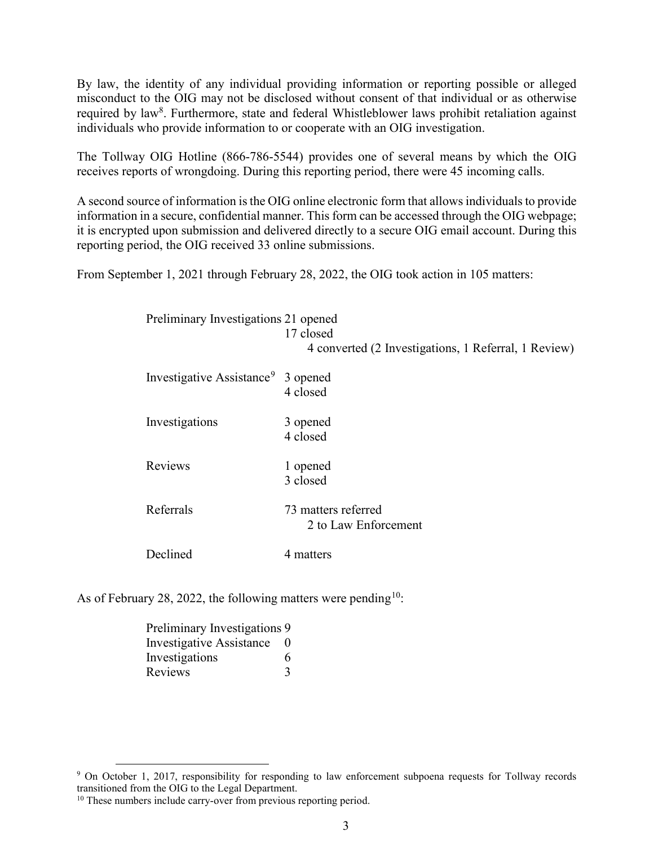By law, the identity of any individual providing information or reporting possible or alleged misconduct to the OIG may not be disclosed without consent of that individual or as otherwise required by law<sup>8</sup>. Furthermore, state and federal Whistleblower laws prohibit retaliation against individuals who provide information to or cooperate with an OIG investigation.

The Tollway OIG Hotline (866-786-5544) provides one of several means by which the OIG receives reports of wrongdoing. During this reporting period, there were 45 incoming calls.

A second source of information is the OIG online electronic form that allows individuals to provide information in a secure, confidential manner. This form can be accessed through the OIG webpage; it is encrypted upon submission and delivered directly to a secure OIG email account. During this reporting period, the OIG received 33 online submissions.

From September 1, 2021 through February 28, 2022, the OIG took action in 105 matters:

| Preliminary Investigations 21 opened           | 17 closed<br>4 converted (2 Investigations, 1 Referral, 1 Review) |
|------------------------------------------------|-------------------------------------------------------------------|
| Investigative Assistance <sup>9</sup> 3 opened | 4 closed                                                          |
| Investigations                                 | 3 opened<br>4 closed                                              |
| Reviews                                        | 1 opened<br>3 closed                                              |
| Referrals                                      | 73 matters referred<br>2 to Law Enforcement                       |
| Declined                                       | 4 matters                                                         |

As of February 28, 2022, the following matters were pending<sup>10</sup>:

| Preliminary Investigations 9 |   |
|------------------------------|---|
| Investigative Assistance 0   |   |
| Investigations               | 6 |
| Reviews                      | 3 |

<span id="page-17-0"></span><sup>&</sup>lt;sup>9</sup> On October 1, 2017, responsibility for responding to law enforcement subpoena requests for Tollway records transitioned from the OIG to the Legal Department.

<span id="page-17-1"></span><sup>&</sup>lt;sup>10</sup> These numbers include carry-over from previous reporting period.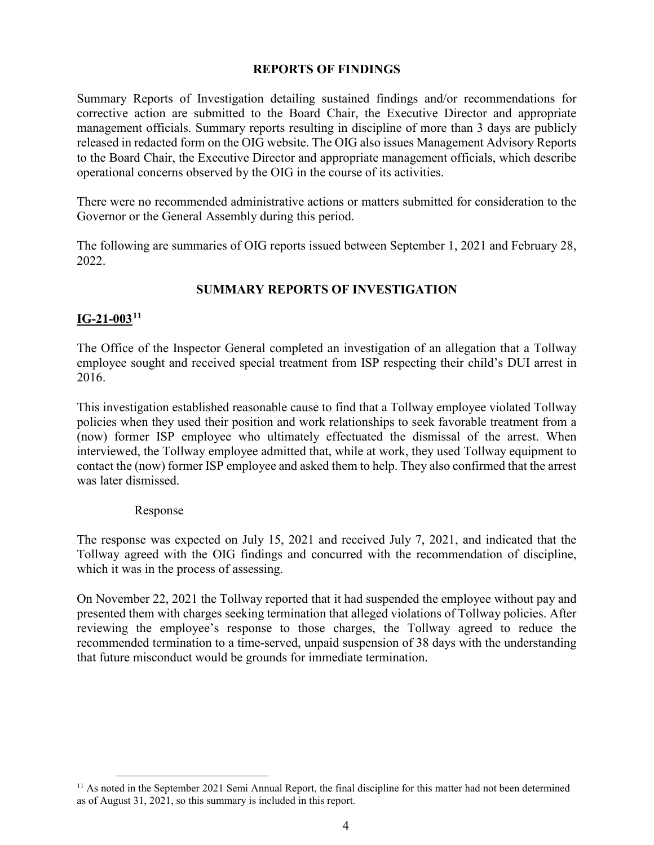#### **REPORTS OF FINDINGS**

Summary Reports of Investigation detailing sustained findings and/or recommendations for corrective action are submitted to the Board Chair, the Executive Director and appropriate management officials. Summary reports resulting in discipline of more than 3 days are publicly released in redacted form on the OIG website. The OIG also issues Management Advisory Reports to the Board Chair, the Executive Director and appropriate management officials, which describe operational concerns observed by the OIG in the course of its activities.

There were no recommended administrative actions or matters submitted for consideration to the Governor or the General Assembly during this period.

The following are summaries of OIG reports issued between September 1, 2021 and February 28, 2022.

#### **SUMMARY REPORTS OF INVESTIGATION**

#### **IG-21-003[11](#page-18-0)**

The Office of the Inspector General completed an investigation of an allegation that a Tollway employee sought and received special treatment from ISP respecting their child's DUI arrest in 2016.

This investigation established reasonable cause to find that a Tollway employee violated Tollway policies when they used their position and work relationships to seek favorable treatment from a (now) former ISP employee who ultimately effectuated the dismissal of the arrest. When interviewed, the Tollway employee admitted that, while at work, they used Tollway equipment to contact the (now) former ISP employee and asked them to help. They also confirmed that the arrest was later dismissed.

#### Response

The response was expected on July 15, 2021 and received July 7, 2021, and indicated that the Tollway agreed with the OIG findings and concurred with the recommendation of discipline, which it was in the process of assessing.

On November 22, 2021 the Tollway reported that it had suspended the employee without pay and presented them with charges seeking termination that alleged violations of Tollway policies. After reviewing the employee's response to those charges, the Tollway agreed to reduce the recommended termination to a time-served, unpaid suspension of 38 days with the understanding that future misconduct would be grounds for immediate termination.

<span id="page-18-0"></span><sup>&</sup>lt;sup>11</sup> As noted in the September 2021 Semi Annual Report, the final discipline for this matter had not been determined as of August 31, 2021, so this summary is included in this report.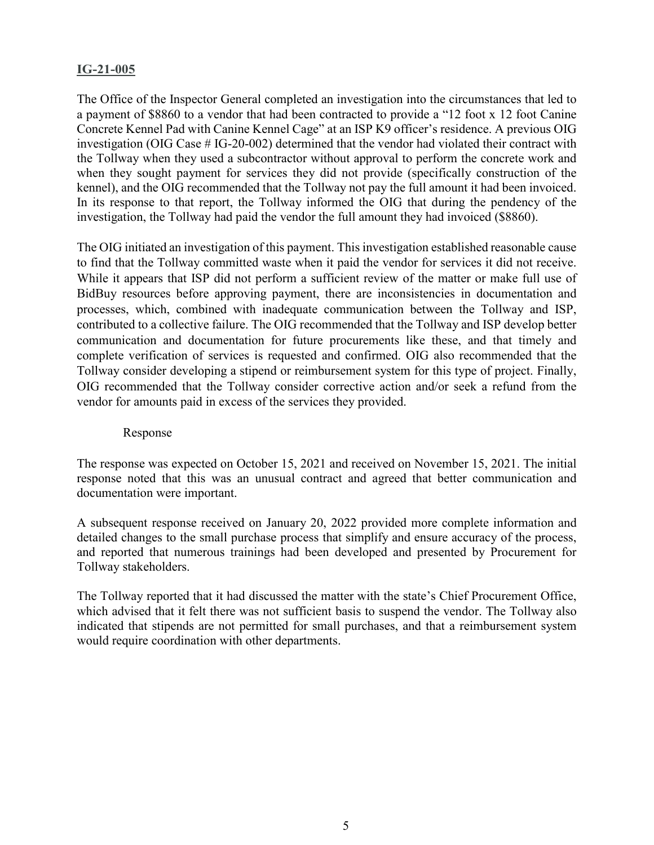#### **IG-21-005**

The Office of the Inspector General completed an investigation into the circumstances that led to a payment of \$8860 to a vendor that had been contracted to provide a "12 foot x 12 foot Canine Concrete Kennel Pad with Canine Kennel Cage" at an ISP K9 officer's residence. A previous OIG investigation (OIG Case # IG-20-002) determined that the vendor had violated their contract with the Tollway when they used a subcontractor without approval to perform the concrete work and when they sought payment for services they did not provide (specifically construction of the kennel), and the OIG recommended that the Tollway not pay the full amount it had been invoiced. In its response to that report, the Tollway informed the OIG that during the pendency of the investigation, the Tollway had paid the vendor the full amount they had invoiced (\$8860).

The OIG initiated an investigation of this payment. This investigation established reasonable cause to find that the Tollway committed waste when it paid the vendor for services it did not receive. While it appears that ISP did not perform a sufficient review of the matter or make full use of BidBuy resources before approving payment, there are inconsistencies in documentation and processes, which, combined with inadequate communication between the Tollway and ISP, contributed to a collective failure. The OIG recommended that the Tollway and ISP develop better communication and documentation for future procurements like these, and that timely and complete verification of services is requested and confirmed. OIG also recommended that the Tollway consider developing a stipend or reimbursement system for this type of project. Finally, OIG recommended that the Tollway consider corrective action and/or seek a refund from the vendor for amounts paid in excess of the services they provided.

#### Response

The response was expected on October 15, 2021 and received on November 15, 2021. The initial response noted that this was an unusual contract and agreed that better communication and documentation were important.

A subsequent response received on January 20, 2022 provided more complete information and detailed changes to the small purchase process that simplify and ensure accuracy of the process, and reported that numerous trainings had been developed and presented by Procurement for Tollway stakeholders.

The Tollway reported that it had discussed the matter with the state's Chief Procurement Office, which advised that it felt there was not sufficient basis to suspend the vendor. The Tollway also indicated that stipends are not permitted for small purchases, and that a reimbursement system would require coordination with other departments.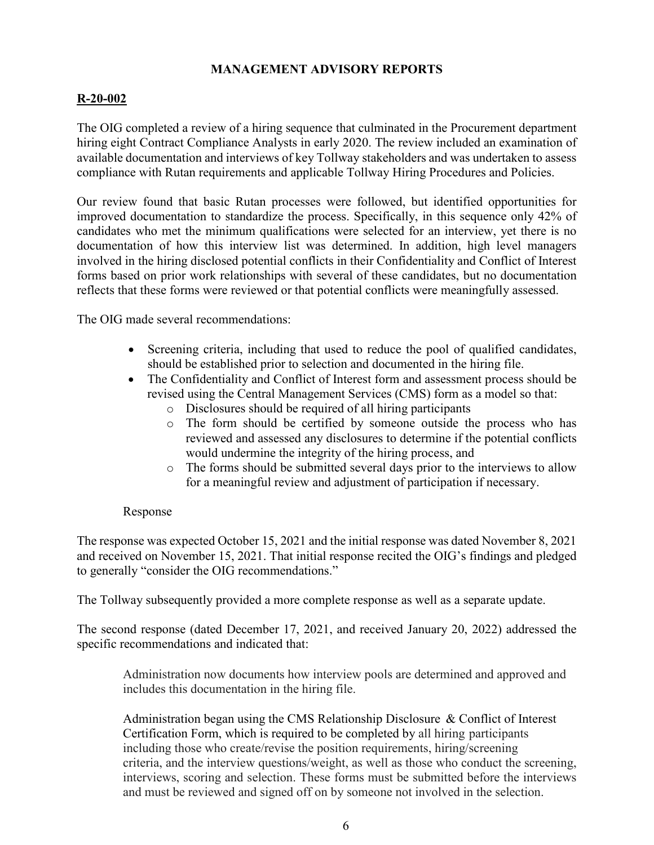#### **MANAGEMENT ADVISORY REPORTS**

#### **R-20-002**

The OIG completed a review of a hiring sequence that culminated in the Procurement department hiring eight Contract Compliance Analysts in early 2020. The review included an examination of available documentation and interviews of key Tollway stakeholders and was undertaken to assess compliance with Rutan requirements and applicable Tollway Hiring Procedures and Policies.

Our review found that basic Rutan processes were followed, but identified opportunities for improved documentation to standardize the process. Specifically, in this sequence only 42% of candidates who met the minimum qualifications were selected for an interview, yet there is no documentation of how this interview list was determined. In addition, high level managers involved in the hiring disclosed potential conflicts in their Confidentiality and Conflict of Interest forms based on prior work relationships with several of these candidates, but no documentation reflects that these forms were reviewed or that potential conflicts were meaningfully assessed.

The OIG made several recommendations:

- Screening criteria, including that used to reduce the pool of qualified candidates, should be established prior to selection and documented in the hiring file.
- The Confidentiality and Conflict of Interest form and assessment process should be revised using the Central Management Services (CMS) form as a model so that:
	- o Disclosures should be required of all hiring participants
	- o The form should be certified by someone outside the process who has reviewed and assessed any disclosures to determine if the potential conflicts would undermine the integrity of the hiring process, and
	- o The forms should be submitted several days prior to the interviews to allow for a meaningful review and adjustment of participation if necessary.

#### Response

The response was expected October 15, 2021 and the initial response was dated November 8, 2021 and received on November 15, 2021. That initial response recited the OIG's findings and pledged to generally "consider the OIG recommendations."

The Tollway subsequently provided a more complete response as well as a separate update.

The second response (dated December 17, 2021, and received January 20, 2022) addressed the specific recommendations and indicated that:

Administration now documents how interview pools are determined and approved and includes this documentation in the hiring file.

Administration began using the CMS Relationship Disclosure & Conflict of Interest Certification Form, which is required to be completed by all hiring participants including those who create/revise the position requirements, hiring/screening criteria, and the interview questions/weight, as well as those who conduct the screening, interviews, scoring and selection. These forms must be submitted before the interviews and must be reviewed and signed off on by someone not involved in the selection.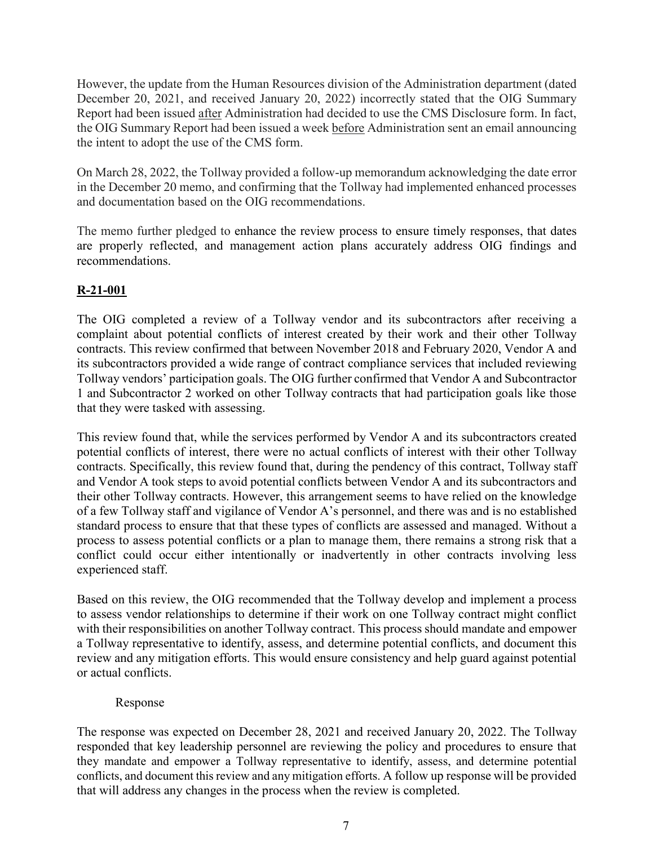However, the update from the Human Resources division of the Administration department (dated December 20, 2021, and received January 20, 2022) incorrectly stated that the OIG Summary Report had been issued after Administration had decided to use the CMS Disclosure form. In fact, the OIG Summary Report had been issued a week before Administration sent an email announcing the intent to adopt the use of the CMS form.

On March 28, 2022, the Tollway provided a follow-up memorandum acknowledging the date error in the December 20 memo, and confirming that the Tollway had implemented enhanced processes and documentation based on the OIG recommendations.

The memo further pledged to enhance the review process to ensure timely responses, that dates are properly reflected, and management action plans accurately address OIG findings and recommendations.

# **R-21-001**

The OIG completed a review of a Tollway vendor and its subcontractors after receiving a complaint about potential conflicts of interest created by their work and their other Tollway contracts. This review confirmed that between November 2018 and February 2020, Vendor A and its subcontractors provided a wide range of contract compliance services that included reviewing Tollway vendors' participation goals. The OIG further confirmed that Vendor A and Subcontractor 1 and Subcontractor 2 worked on other Tollway contracts that had participation goals like those that they were tasked with assessing.

This review found that, while the services performed by Vendor A and its subcontractors created potential conflicts of interest, there were no actual conflicts of interest with their other Tollway contracts. Specifically, this review found that, during the pendency of this contract, Tollway staff and Vendor A took steps to avoid potential conflicts between Vendor A and its subcontractors and their other Tollway contracts. However, this arrangement seems to have relied on the knowledge of a few Tollway staff and vigilance of Vendor A's personnel, and there was and is no established standard process to ensure that that these types of conflicts are assessed and managed. Without a process to assess potential conflicts or a plan to manage them, there remains a strong risk that a conflict could occur either intentionally or inadvertently in other contracts involving less experienced staff.

Based on this review, the OIG recommended that the Tollway develop and implement a process to assess vendor relationships to determine if their work on one Tollway contract might conflict with their responsibilities on another Tollway contract. This process should mandate and empower a Tollway representative to identify, assess, and determine potential conflicts, and document this review and any mitigation efforts. This would ensure consistency and help guard against potential or actual conflicts.

#### Response

The response was expected on December 28, 2021 and received January 20, 2022. The Tollway responded that key leadership personnel are reviewing the policy and procedures to ensure that they mandate and empower a Tollway representative to identify, assess, and determine potential conflicts, and document this review and any mitigation efforts. A follow up response will be provided that will address any changes in the process when the review is completed.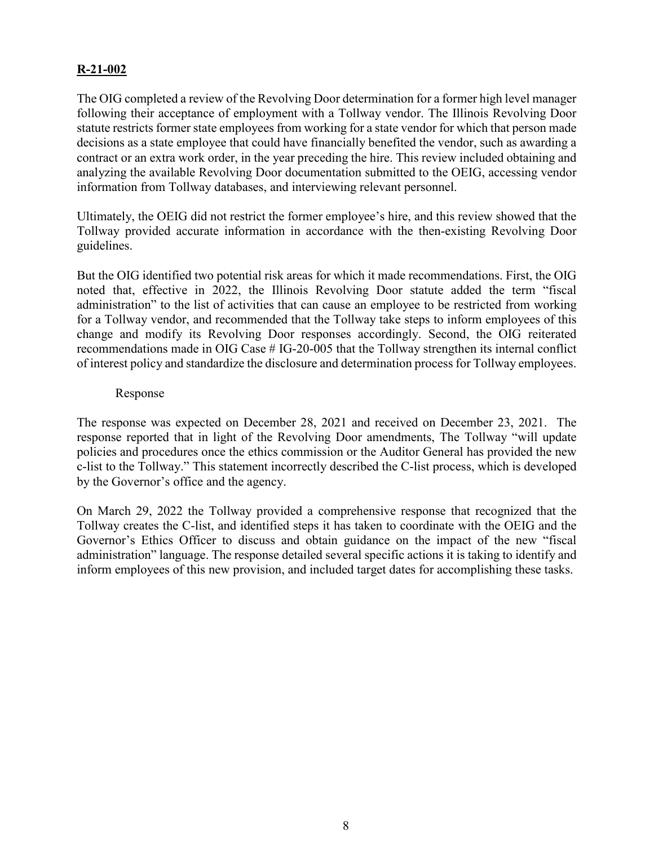#### **R-21-002**

The OIG completed a review of the Revolving Door determination for a former high level manager following their acceptance of employment with a Tollway vendor. The Illinois Revolving Door statute restricts former state employees from working for a state vendor for which that person made decisions as a state employee that could have financially benefited the vendor, such as awarding a contract or an extra work order, in the year preceding the hire. This review included obtaining and analyzing the available Revolving Door documentation submitted to the OEIG, accessing vendor information from Tollway databases, and interviewing relevant personnel.

Ultimately, the OEIG did not restrict the former employee's hire, and this review showed that the Tollway provided accurate information in accordance with the then-existing Revolving Door guidelines.

But the OIG identified two potential risk areas for which it made recommendations. First, the OIG noted that, effective in 2022, the Illinois Revolving Door statute added the term "fiscal administration" to the list of activities that can cause an employee to be restricted from working for a Tollway vendor, and recommended that the Tollway take steps to inform employees of this change and modify its Revolving Door responses accordingly. Second, the OIG reiterated recommendations made in OIG Case # IG-20-005 that the Tollway strengthen its internal conflict of interest policy and standardize the disclosure and determination process for Tollway employees.

#### Response

The response was expected on December 28, 2021 and received on December 23, 2021. The response reported that in light of the Revolving Door amendments, The Tollway "will update policies and procedures once the ethics commission or the Auditor General has provided the new c-list to the Tollway." This statement incorrectly described the C-list process, which is developed by the Governor's office and the agency.

On March 29, 2022 the Tollway provided a comprehensive response that recognized that the Tollway creates the C-list, and identified steps it has taken to coordinate with the OEIG and the Governor's Ethics Officer to discuss and obtain guidance on the impact of the new "fiscal administration" language. The response detailed several specific actions it is taking to identify and inform employees of this new provision, and included target dates for accomplishing these tasks.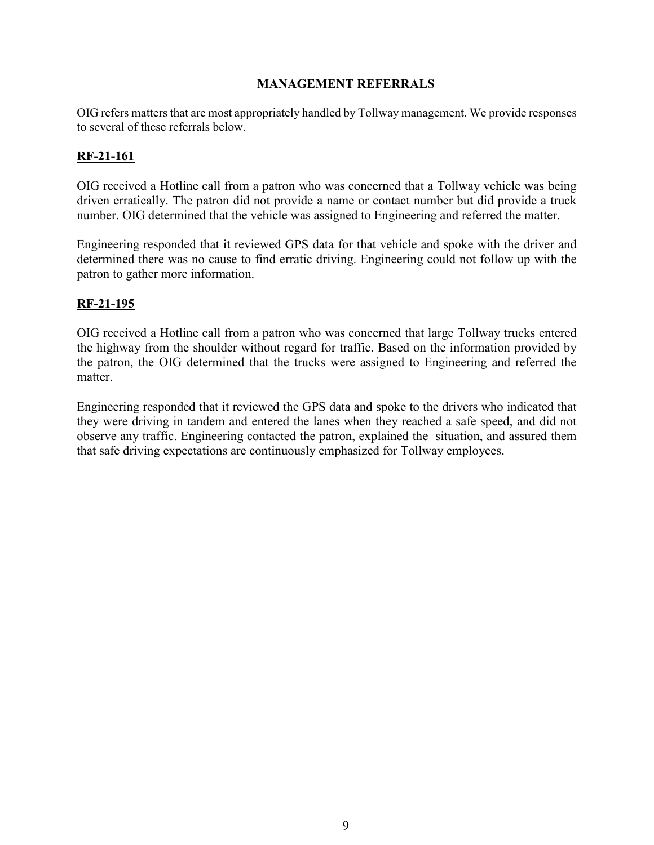#### **MANAGEMENT REFERRALS**

OIG refers matters that are most appropriately handled by Tollway management. We provide responses to several of these referrals below.

#### **RF-21-161**

OIG received a Hotline call from a patron who was concerned that a Tollway vehicle was being driven erratically. The patron did not provide a name or contact number but did provide a truck number. OIG determined that the vehicle was assigned to Engineering and referred the matter.

Engineering responded that it reviewed GPS data for that vehicle and spoke with the driver and determined there was no cause to find erratic driving. Engineering could not follow up with the patron to gather more information.

#### **RF-21-195**

OIG received a Hotline call from a patron who was concerned that large Tollway trucks entered the highway from the shoulder without regard for traffic. Based on the information provided by the patron, the OIG determined that the trucks were assigned to Engineering and referred the matter.

Engineering responded that it reviewed the GPS data and spoke to the drivers who indicated that they were driving in tandem and entered the lanes when they reached a safe speed, and did not observe any traffic. Engineering contacted the patron, explained the situation, and assured them that safe driving expectations are continuously emphasized for Tollway employees.